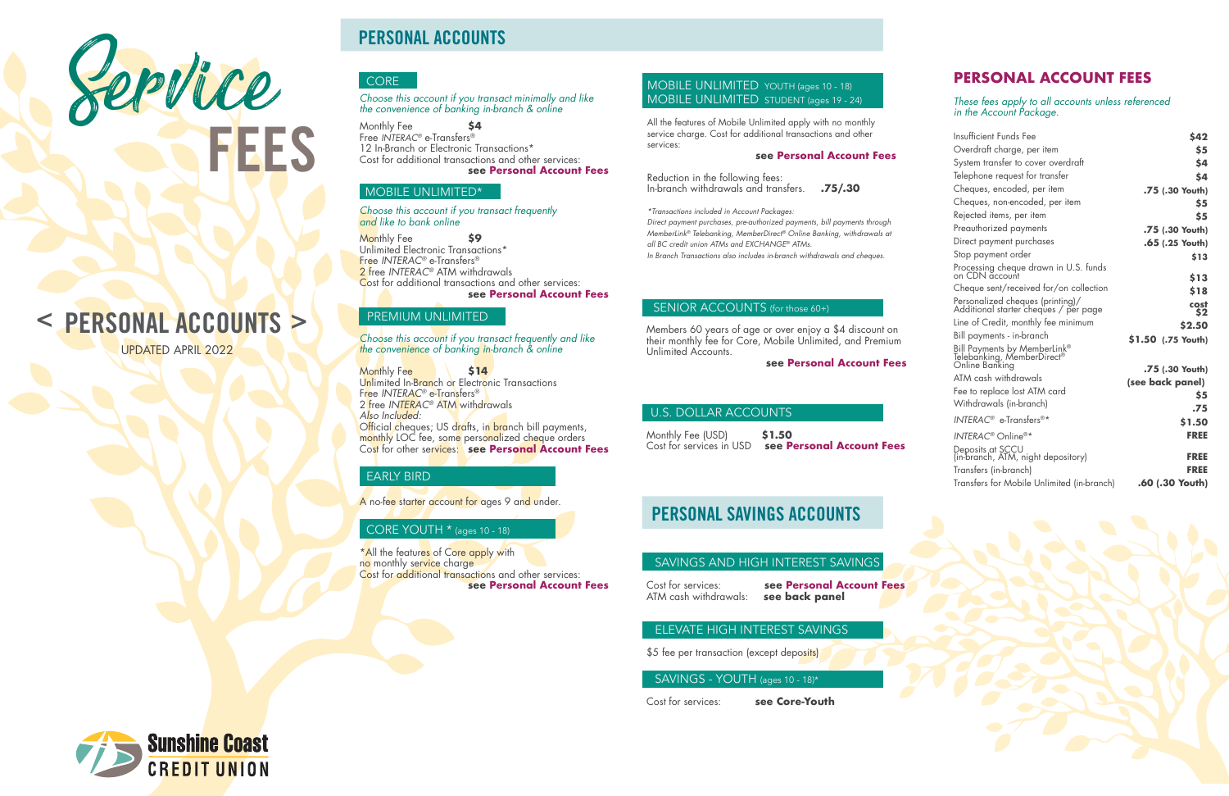# Service

# PERSONAL ACCOUNTS >

### SAVINGS AND HIGH INTEREST SAVINGS

Cost for services: **see Personal Account Fees**

### **ELEVATE HIGH INTEREST SAVINGS**

\$5 fee per transaction (except deposits)

ATM cash withdrawals: **see back panel** 

### SAVINGS - YOUTH (ages 10 - 18)\*

Cost for services: **see Core-Youth**



*Choose this account if you transact minimally and like the convenience of banking in-branch & online*

Monthly Fee **\$4**  Free *INTERAC®* e-Transfers® 12 In-Branch or Electronic Transactions\* Cost for additional transactions and other services: **see Personal Account Fees**

### MOBILE UNLIMITED\*

*Choose this account if you transact frequently and like to bank online* 

Monthly Fee **\$9**  Unlimited Electronic Transactions\* Free *INTERAC®* e-Transfers® 2 free *INTERAC®* ATM withdrawals Cost for additional transactions and other services: **see Personal Account Fees**

\*All the features of Core apply with no monthly service charge Cost for additional transactions and other services: **see Personal Account Fees**

### PREMIUM UNLIMITED

*Choose this account if you transact frequently and like the convenience of banking in-branch & online*

Monthly Fee **\$14** Unlimited In-Branch or Electronic Transactions Free *INTERAC®* e-Transfers® 2 free *INTERAC®* ATM withdrawals *Also Included:*  Official cheques; US drafts, in branch bill payments, monthly LOC fee, some personalized cheque orders Cost for other services: **see Personal Account Fees**

### EARLY BIRD

A no-fee starter account for ages 9 and under.

### CORE YOUTH \* (ages 10 - 18)

### **PERSONAL ACCOUNT FEES**

*These fees apply to all accounts unless referenced in the Account Package.*

| Insufficient Funds Fee                                                       | \$42               |
|------------------------------------------------------------------------------|--------------------|
| Overdraft charge, per item                                                   | \$5                |
| System transfer to cover overdraft                                           | \$4                |
| Telephone request for transter                                               | \$4                |
| Cheques, encoded, per item                                                   | .75 (.30 Youth)    |
| Cheques, non-encoded, per item                                               | \$5                |
| Rejected items, per item                                                     | \$5                |
| Preauthorized payments                                                       | .75 (.30 Youth)    |
| Direct payment purchases                                                     | .65 (.25 Youth)    |
| Stop payment order                                                           | \$13               |
| Processing cheque drawn in U.S. funds<br>on CDN account                      | \$13               |
| Cheque sent/received for/on collection                                       | \$18               |
| Personalized cheques (printing)/<br>Additional starter cheques / per page    | cost<br>\$2        |
| Line of Credit, monthly fee minimum                                          | \$2.50             |
| Bill payments - in-branch                                                    | \$1.50 (.75 Youth) |
| Bill Payments by MemberLink®<br>Telebanking, MemberDirect®<br>Online Banking |                    |
| ATM cash withdrawals                                                         | .75 (.30 Youth)    |
| Fee to replace lost ATM card                                                 | (see back panel)   |
| Withdrawals (in-branch)                                                      | \$5                |
|                                                                              | .75                |
| INTERAC <sup>®</sup> e-Transfers <sup>®*</sup>                               | \$1.50             |
| $INTERAC^{\circ}$ Online <sup>®*</sup>                                       | <b>FREE</b>        |
| Deposits at SCCU<br>(in-branch, ATM, night depository)                       | <b>FREE</b>        |
| Transfers (in-branch)                                                        | <b>FREE</b>        |
| Transfers for Mobile Unlimited (in-branch)                                   | .60 (.30 Youth)    |

# PERSONAL ACCOUNTS

### **CORE**

Members 60 years of age or over enjoy a \$4 discount on their monthly fee for Core, Mobile Unlimited, and Premium Unlimited Accounts.

**see Personal Account Fees**

### U.S. DOLLAR ACCOUNTS

Monthly Fee (USD) **\$1.50**  Cost for services in USD **see Personal Account Fees**

# PERSONAL SAVINGS ACCOUNTS

### MOBILE UNLIMITED YOUTH (ages 10 - 18) MOBILE UNLIMITED STUDENT (ages 19 - 24)

All the features of Mobile Unlimited apply with no monthly service charge. Cost for additional transactions and other services:

### **see Personal Account Fees**

Reduction in the following fees: In-branch withdrawals and transfers. **.75/.30**

*\*Transactions included in Account Packages: Direct payment purchases, pre-authorized payments, bill payments through MemberLink® Telebanking, MemberDirect® Online Banking, withdrawals at all BC credit union ATMs and EXCHANGE® ATMs. In Branch Transactions also includes in-branch withdrawals and cheques.*

### SENIOR ACCOUNTS (for those 60+)

UPDATED APRIL 2022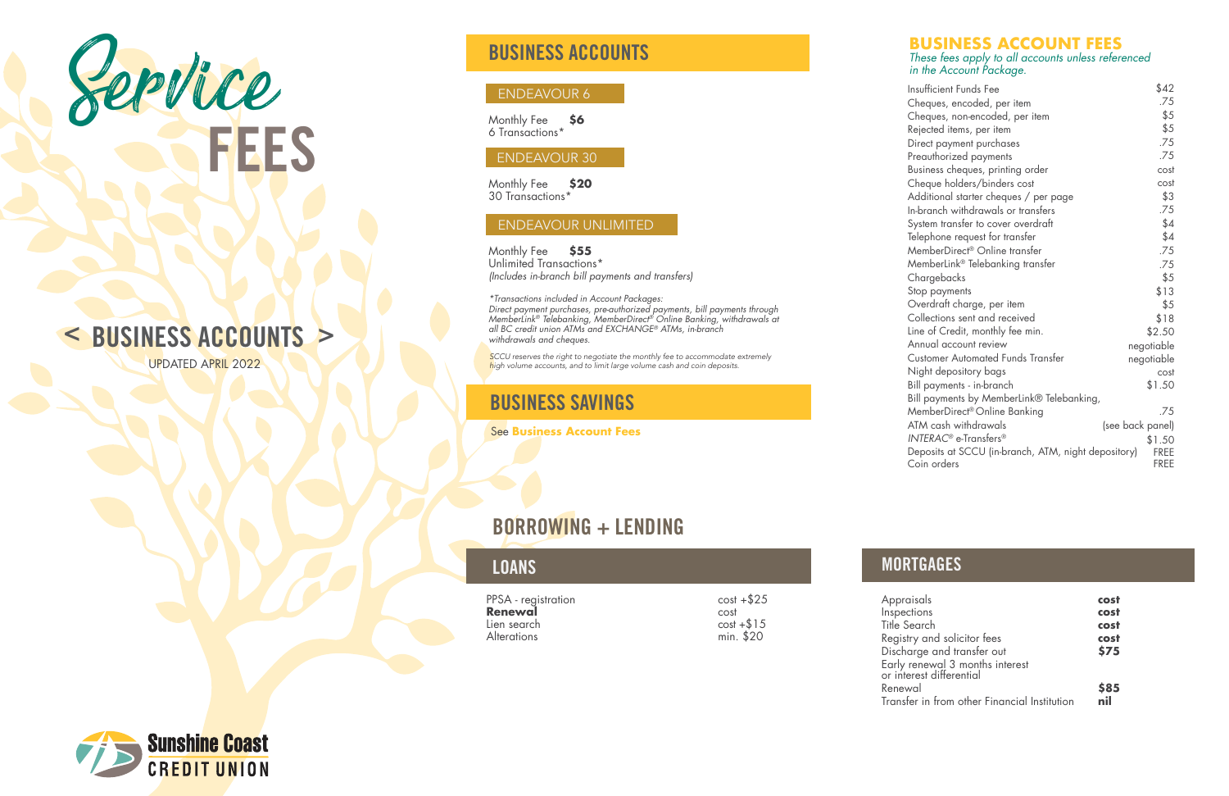# BUSINESS ACCOUNTS

### ENDEAVOUR 6

Monthly Fee **\$6** 6 Transactions\*

### ENDEAVOUR 30

Monthly Fee **\$20** 30 Transactions\*

### ENDEAVOUR UNLIMITED

Monthly Fee **\$55** Unlimited Transactions\* *(Includes in-branch bill payments and transfers)*

*\*Transactions included in Account Packages: Direct payment purchases, pre-authorized payments, bill payments through MemberLink® Telebanking, MemberDirect® Online Banking, withdrawals at all BC credit union ATMs and EXCHANGE® ATMs, in-branch withdrawals and cheques* .

**SCCU** reserves the right to negotiate the monthly fee to accommodate extremely **high volume accounts**, and to limit large volume cash and coin deposits.



### **BUSINESS ACCOUNT FEES** *These fees apply to all accounts unless referenced in the Account Package.*

| Insufficient Funds Fee                                             | \$42                       |
|--------------------------------------------------------------------|----------------------------|
| Cheques, encoded, per item                                         | .75                        |
| Cheques, non-encoded, per item                                     | \$5                        |
| Rejected items, per item                                           | \$5                        |
| Direct payment purchases                                           | .75                        |
| Preauthorized payments                                             | .75                        |
| Business cheques, printing order                                   | cost                       |
| Cheque holders/binders cost                                        | cost                       |
| Additional starter cheques / per page                              | \$3                        |
| In-branch withdrawals or transfers                                 | .75                        |
| System transfer to cover overdraft                                 | \$4                        |
| Telephone request for transfer                                     | \$4                        |
| MemberDirect® Online transfer                                      | .75                        |
| MemberLink® Telebanking transfer                                   | .75                        |
| Chargebacks                                                        | \$5                        |
| Stop payments                                                      | \$13                       |
| Overdraft charge, per item                                         | \$5                        |
| Collections sent and received                                      | \$18                       |
| Line of Credit, monthly fee min.                                   | \$2.50                     |
| Annual account review                                              | negotiable                 |
| <b>Customer Automated Funds Transfer</b>                           | negotiable                 |
| Night depository bags                                              | cost                       |
| Bill payments - in-branch                                          | \$1.50                     |
| Bill payments by MemberLink® Telebanking,                          |                            |
| MemberDirect® Online Banking                                       | .75                        |
| ATM cash withdrawals                                               | (see back panel)           |
| INTERAC <sup>®</sup> e-Transfers <sup>®</sup>                      | \$1.50                     |
| Deposits at SCCU (in-branch, ATM, night depository)<br>Coin orders | <b>FREE</b><br><b>FREE</b> |
|                                                                    |                            |

# LOANS NORTGAGES

 $cost + $25$ cost  $cost + $15$ min. \$20

Appr **Early** or int



# BUSINESS SAVINGS

See **Business Account Fees**

| PPSA - registration |  |
|---------------------|--|
| Renewal             |  |
| Lien search         |  |
| <b>Alterations</b>  |  |

| Appraisals                                                  | cost |
|-------------------------------------------------------------|------|
| Inspections                                                 | cost |
| <b>Title Search</b>                                         | cost |
| Registry and solicitor fees                                 | cost |
| Discharge and transfer out                                  | \$75 |
| Early renewal 3 months interest<br>or interest differential |      |
|                                                             |      |
| Renewal                                                     | \$85 |
| Transfer in from other Financial Institution                | nil  |
|                                                             |      |

# < BUSINESS ACCOUNTS >

# BORROWING + LENDING